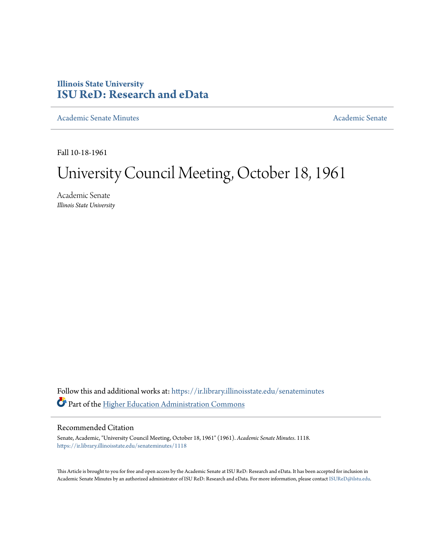## **Illinois State University [ISU ReD: Research and eData](https://ir.library.illinoisstate.edu?utm_source=ir.library.illinoisstate.edu%2Fsenateminutes%2F1118&utm_medium=PDF&utm_campaign=PDFCoverPages)**

[Academic Senate Minutes](https://ir.library.illinoisstate.edu/senateminutes?utm_source=ir.library.illinoisstate.edu%2Fsenateminutes%2F1118&utm_medium=PDF&utm_campaign=PDFCoverPages) [Academic Senate](https://ir.library.illinoisstate.edu/senate?utm_source=ir.library.illinoisstate.edu%2Fsenateminutes%2F1118&utm_medium=PDF&utm_campaign=PDFCoverPages) Academic Senate

Fall 10-18-1961

# University Council Meeting, October 18, 1961

Academic Senate *Illinois State University*

Follow this and additional works at: [https://ir.library.illinoisstate.edu/senateminutes](https://ir.library.illinoisstate.edu/senateminutes?utm_source=ir.library.illinoisstate.edu%2Fsenateminutes%2F1118&utm_medium=PDF&utm_campaign=PDFCoverPages) Part of the [Higher Education Administration Commons](http://network.bepress.com/hgg/discipline/791?utm_source=ir.library.illinoisstate.edu%2Fsenateminutes%2F1118&utm_medium=PDF&utm_campaign=PDFCoverPages)

## Recommended Citation

Senate, Academic, "University Council Meeting, October 18, 1961" (1961). *Academic Senate Minutes*. 1118. [https://ir.library.illinoisstate.edu/senateminutes/1118](https://ir.library.illinoisstate.edu/senateminutes/1118?utm_source=ir.library.illinoisstate.edu%2Fsenateminutes%2F1118&utm_medium=PDF&utm_campaign=PDFCoverPages)

This Article is brought to you for free and open access by the Academic Senate at ISU ReD: Research and eData. It has been accepted for inclusion in Academic Senate Minutes by an authorized administrator of ISU ReD: Research and eData. For more information, please contact [ISUReD@ilstu.edu.](mailto:ISUReD@ilstu.edu)